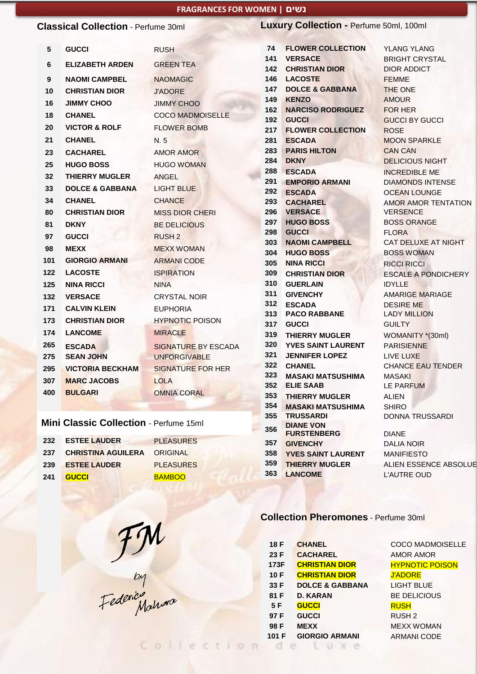#### **FRAGRANCES FOR WOMEN | נשים**

|                                            |                            | <b>INADIANCES</b> FOR WONIER   <b>E</b> OF |            |                                            |                                             |  |
|--------------------------------------------|----------------------------|--------------------------------------------|------------|--------------------------------------------|---------------------------------------------|--|
| <b>Classical Collection - Perfume 30ml</b> |                            |                                            |            | Luxury Collection - Perfume 50ml, 100ml    |                                             |  |
| 5                                          | <b>GUCCI</b>               | <b>RUSH</b>                                | 74<br>141  | <b>FLOWER COLLECTION</b><br><b>VERSACE</b> | <b>YLANG YLANG</b><br><b>BRIGHT CRYSTAL</b> |  |
| 6                                          | <b>ELIZABETH ARDEN</b>     | <b>GREEN TEA</b>                           | 142        | <b>CHRISTIAN DIOR</b>                      | <b>DIOR ADDICT</b>                          |  |
| 9                                          | <b>NAOMI CAMPBEL</b>       | <b>NAOMAGIC</b>                            | 146        | <b>LACOSTE</b>                             | <b>FEMME</b>                                |  |
| 10                                         | <b>CHRISTIAN DIOR</b>      | <b>J'ADORE</b>                             | 147        | <b>DOLCE &amp; GABBANA</b>                 | THE ONE                                     |  |
| 16                                         | <b>JIMMY CHOO</b>          | <b>JIMMY CHOO</b>                          | 149        | <b>KENZO</b>                               | <b>AMOUR</b>                                |  |
| 18                                         | <b>CHANEL</b>              | <b>COCO MADMOISELLE</b>                    | 162        | <b>NARCISO RODRIGUEZ</b>                   | FOR HER                                     |  |
| 20                                         | <b>VICTOR &amp; ROLF</b>   | <b>FLOWER BOMB</b>                         | 192<br>217 | <b>GUCCI</b><br><b>FLOWER COLLECTION</b>   | <b>GUCCI BY GUCCI</b><br><b>ROSE</b>        |  |
| 21                                         | <b>CHANEL</b>              | N. 5                                       | 281        | <b>ESCADA</b>                              | <b>MOON SPARKLE</b>                         |  |
| 23                                         | <b>CACHAREL</b>            | <b>AMOR AMOR</b>                           | 283        | <b>PARIS HILTON</b>                        | <b>CAN CAN</b>                              |  |
| 25                                         | <b>HUGO BOSS</b>           | <b>HUGO WOMAN</b>                          | 284        | <b>DKNY</b>                                | <b>DELICIOUS NIGHT</b>                      |  |
| 32                                         | <b>THIERRY MUGLER</b>      | <b>ANGEL</b>                               | 288        | <b>ESCADA</b>                              | <b>INCREDIBLE ME</b>                        |  |
| 33                                         | <b>DOLCE &amp; GABBANA</b> | <b>LIGHT BLUE</b>                          | 291        | <b>EMPORIO ARMANI</b>                      | <b>DIAMONDS INTENSE</b>                     |  |
| 34                                         | <b>CHANEL</b>              |                                            | 292        | <b>ESCADA</b>                              | <b>OCEAN LOUNGE</b>                         |  |
|                                            |                            | <b>CHANCE</b>                              | 293<br>296 | <b>CACHAREL</b>                            | <b>AMOR AMOR TENTATION</b>                  |  |
| 80                                         | <b>CHRISTIAN DIOR</b>      | <b>MISS DIOR CHERI</b>                     | 297        | <b>VERSACE</b><br><b>HUGO BOSS</b>         | <b>VERSENCE</b><br><b>BOSS ORANGE</b>       |  |
| 81                                         | <b>DKNY</b>                | <b>BE DELICIOUS</b>                        | 298        | <b>GUCCI</b>                               | <b>FLORA</b>                                |  |
| 97                                         | <b>GUCCI</b>               | <b>RUSH 2</b>                              | 303        | <b>NAOMI CAMPBELL</b>                      | CAT DELUXE AT NIGHT                         |  |
| 98                                         | <b>MEXX</b>                | <b>MEXX WOMAN</b>                          | 304        | <b>HUGO BOSS</b>                           | <b>BOSS WOMAN</b>                           |  |
| 101                                        | <b>GIORGIO ARMANI</b>      | <b>ARMANI CODE</b>                         | 305        | <b>NINA RICCI</b>                          | <b>RICCI RICCI</b>                          |  |
| 122                                        | <b>LACOSTE</b>             | <b>ISPIRATION</b>                          | 309        | <b>CHRISTIAN DIOR</b>                      | <b>ESCALE A PONDICHERY</b>                  |  |
| 125                                        | <b>NINA RICCI</b>          | <b>NINA</b>                                | 310        | <b>GUERLAIN</b>                            | <b>IDYLLE</b>                               |  |
| 132                                        | <b>VERSACE</b>             | <b>CRYSTAL NOIR</b>                        | 311<br>312 | <b>GIVENCHY</b>                            | <b>AMARIGE MARIAGE</b>                      |  |
| 171                                        | <b>CALVIN KLEIN</b>        | <b>EUPHORIA</b>                            | 313        | <b>ESCADA</b><br><b>PACO RABBANE</b>       | <b>DESIRE ME</b><br><b>LADY MILLION</b>     |  |
| 173                                        | <b>CHRISTIAN DIOR</b>      | <b>HYPNOTIC POISON</b>                     | 317        | <b>GUCCI</b>                               | <b>GUILTY</b>                               |  |
| 174                                        | <b>LANCOME</b>             | <b>MIRACLE</b>                             | 319        | <b>THIERRY MUGLER</b>                      | WOMANITY *(30ml)                            |  |
| 265                                        | <b>ESCADA</b>              | <b>SIGNATURE BY ESCADA</b>                 | 320        | <b>YVES SAINT LAURENT</b>                  | <b>PARISIENNE</b>                           |  |

# **Mini Classic Collection** - Perfume 15ml

**BULGARI** OMNIA CORAL

**MARC JACOBS** LOLA

 **SEAN JOHN** UNFORGIVABLE **VICTORIA BECKHAM** SIGNATURE FOR HER

|     | 232 ESTEE LAUDER                | <b>PLEASURES</b> |
|-----|---------------------------------|------------------|
|     | 237 CHRISTINA AGUILERA ORIGINAL |                  |
| 239 | <b>ESTEE LAUDER</b>             | <b>PLEASURES</b> |
| 241 | <b>GUCCI</b>                    | <b>BAMBOO</b>    |

FM<br>Federic Mahora

Collectio

**In** 

 **DIANE VON FURSTENBERG** DIANE **GIVENCHY** DALIA NOIR **YVES SAINT LAURENT** MANIFIESTO **THIERRY MUGLER** ALIEN ESSENCE ABSOLUE **LANCOME** L'AUTRE OUD

 **JENNIFER LOPEZ** LIVE LUXE **CHANEL** CHANCE EAU TENDER **MASAKI MATSUSHIMA** MASAKI **ELIE SAAB** LE PARFUM **THIERRY MUGLER** ALIEN **MASAKI MATSUSHIMA** SHIRO **355 TRUSSARDI DONNA TRUSSARDI** 

#### **Collection Pheromones** - Perfume 30ml

| 18 F  | <b>CHANEL</b>              | <b>COCO MADMOISELLE</b> |
|-------|----------------------------|-------------------------|
| 23 F  | <b>CACHAREL</b>            | <b>AMOR AMOR</b>        |
| 173F  | <b>CHRISTIAN DIOR</b>      | <b>HYPNOTIC POISON</b>  |
| 10 F  | <b>CHRISTIAN DIOR</b>      | <b>J'ADORE</b>          |
| 33 F  | <b>DOLCE &amp; GABBANA</b> | <b>LIGHT BLUE</b>       |
| 81 F  | <b>D. KARAN</b>            | <b>BE DELICIOUS</b>     |
| 5 F   | <b>GUCCI</b>               | <b>RUSH</b>             |
| 97 F  | <b>GUCCI</b>               | RUSH <sub>2</sub>       |
| 98 F  | <b>MEXX</b>                | <b>MEXX WOMAN</b>       |
| 101 F | <b>GIORGIO ARMANI</b>      | <b>ARMANI CODE</b>      |
|       |                            |                         |